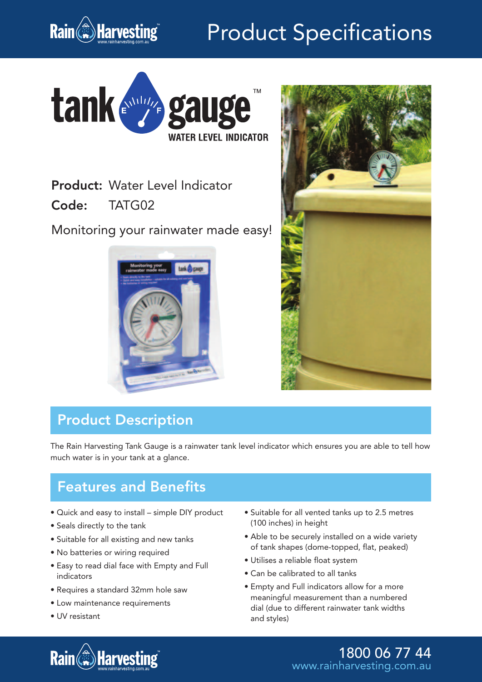

# Product Specifications



Product: Water Level Indicator

Code: TATG02

Monitoring your rainwater made easy!





## Product Description

The Rain Harvesting Tank Gauge is a rainwater tank level indicator which ensures you are able to tell how much water is in your tank at a glance.

### Features and Benefits

- Quick and easy to install simple DIY product
- Seals directly to the tank
- Suitable for all existing and new tanks
- No batteries or wiring required
- Easy to read dial face with Empty and Full indicators
- Requires a standard 32mm hole saw
- Low maintenance requirements
- UV resistant
- Suitable for all vented tanks up to 2.5 metres (100 inches) in height
- Able to be securely installed on a wide variety of tank shapes (dome-topped, flat, peaked)
- Utilises a reliable float system
- Can be calibrated to all tanks
- Empty and Full indicators allow for a more meaningful measurement than a numbered dial (due to different rainwater tank widths and styles)



1800 06 77 44 www.rainharvesting.com.au